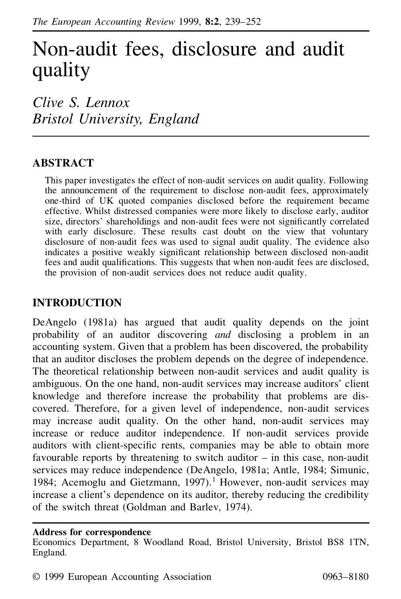# Non-audit fees, disclosure and audit quality

*Clive S. Lennox Bristol University, England*

# **ABSTRACT**

This paper investigates the effect of non-audit services on audit quality. Following the announcement of the requirement to disclose non-audit fees, approximately one-third of UK quoted companies disclosed before the requirement became effective. Whilst distressed companies were more likely to disclose early, auditor size, directors' shareholdings and non-audit fees were not significantly correlated with early disclosure. These results cast doubt on the view that voluntary disclosure of non-audit fees was used to signal audit quality. The evidence also indicates a positive weakly significant relationship between disclosed non-audit fees and audit qualifications. This suggests that when non-audit fees are disclosed, the provision of non-audit services does not reduce audit quality.

# **INTRODUCTION**

DeAngelo (1981a) has argued that audit quality depends on the joint probability of an auditor discovering *and* disclosing a problem in an accounting system. Given that a problem has been discovered, the probability that an auditor discloses the problem depends on the degree of independence. The theoretical relationship between non-audit services and audit quality is ambiguous. On the one hand, non-audit services may increase auditors' client knowledge and therefore increase the probability that problems are discovered. Therefore, for a given level of independence, non-audit services may increase audit quality. On the other hand, non-audit services may increase or reduce auditor independence. If non-audit services provide auditors with client-specific rents, companies may be able to obtain more favourable reports by threatening to switch auditor – in this case, non-audit services may reduce independence (DeAngelo, 1981a; Antle, 1984; Simunic, 1984; Acemoglu and Gietzmann, 1997).<sup>1</sup> However, non-audit services may increase a client's dependence on its auditor, thereby reducing the credibility of the switch threat (Goldman and Barlev, 1974).

### **Address for correspondence**

Economics Department, 8 Woodland Road, Bristol University, Bristol BS8 1TN, England.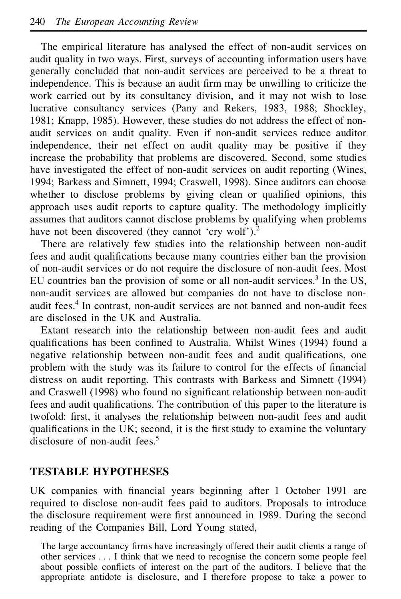The empirical literature has analysed the effect of non-audit services on audit quality in two ways. First, surveys of accounting information users have generally concluded that non-audit services are perceived to be a threat to independence. This is because an audit firm may be unwilling to criticize the work carried out by its consultancy division, and it may not wish to lose lucrative consultancy services (Pany and Rekers, 1983, 1988; Shockley, 1981; Knapp, 1985). However, these studies do not address the effect of nonaudit services on audit quality. Even if non-audit services reduce auditor independence, their net effect on audit quality may be positive if they increase the probability that problems are discovered. Second, some studies have investigated the effect of non-audit services on audit reporting (Wines, 1994; Barkess and Simnett, 1994; Craswell, 1998). Since auditors can choose whether to disclose problems by giving clean or qualified opinions, this approach uses audit reports to capture quality. The methodology implicitly assumes that auditors cannot disclose problems by qualifying when problems have not been discovered (they cannot 'cry wolf').<sup>2</sup>

There are relatively few studies into the relationship between non-audit fees and audit qualifications because many countries either ban the provision of non-audit services or do not require the disclosure of non-audit fees. Most EU countries ban the provision of some or all non-audit services. $<sup>3</sup>$  In the US,</sup> non-audit services are allowed but companies do not have to disclose nonaudit fees.<sup>4</sup> In contrast, non-audit services are not banned and non-audit fees are disclosed in the UK and Australia.

Extant research into the relationship between non-audit fees and audit qualifications has been confined to Australia. Whilst Wines (1994) found a negative relationship between non-audit fees and audit qualifications, one problem with the study was its failure to control for the effects of financial distress on audit reporting. This contrasts with Barkess and Simnett (1994) and Craswell (1998) who found no significant relationship between non-audit fees and audit qualifications. The contribution of this paper to the literature is twofold: first, it analyses the relationship between non-audit fees and audit qualifications in the UK; second, it is the first study to examine the voluntary disclosure of non-audit fees.<sup>5</sup>

## **TESTABLE HYPOTHESES**

UK companies with nancial years beginning after 1 October 1991 are required to disclose non-audit fees paid to auditors. Proposals to introduce the disclosure requirement were first announced in 1989. During the second reading of the Companies Bill, Lord Young stated,

The large accountancy firms have increasingly offered their audit clients a range of other services . . . I think that we need to recognise the concern some people feel about possible conflicts of interest on the part of the auditors. I believe that the appropriate antidote is disclosure, and I therefore propose to take a power to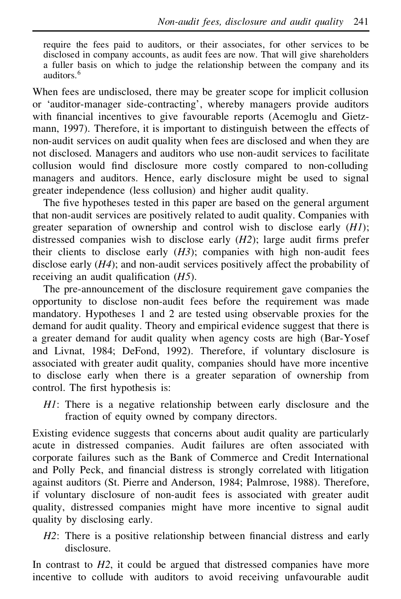require the fees paid to auditors, or their associates, for other services to be disclosed in company accounts, as audit fees are now. That will give shareholders a fuller basis on which to judge the relationship between the company and its auditors.<sup>6</sup>

When fees are undisclosed, there may be greater scope for implicit collusion or 'auditor-manager side-contracting', whereby managers provide auditors with financial incentives to give favourable reports (Acemoglu and Gietzmann, 1997). Therefore, it is important to distinguish between the effects of non-audit services on audit quality when fees are disclosed and when they are not disclosed. Managers and auditors who use non-audit services to facilitate collusion would find disclosure more costly compared to non-colluding managers and auditors. Hence, early disclosure might be used to signal greater independence (less collusion) and higher audit quality.

The five hypotheses tested in this paper are based on the general argument that non-audit services are positively related to audit quality. Companies with greater separation of ownership and control wish to disclose early (*H1*); distressed companies wish to disclose early  $(H2)$ ; large audit firms prefer their clients to disclose early  $(H3)$ ; companies with high non-audit fees disclose early (*H4*); and non-audit services positively affect the probability of receiving an audit qualification  $(H5)$ .

The pre-announcement of the disclosure requirement gave companies the opportunity to disclose non-audit fees before the requirement was made mandatory. Hypotheses 1 and 2 are tested using observable proxies for the demand for audit quality. Theory and empirical evidence suggest that there is a greater demand for audit quality when agency costs are high (Bar-Yosef and Livnat, 1984; DeFond, 1992). Therefore, if voluntary disclosure is associated with greater audit quality, companies should have more incentive to disclose early when there is a greater separation of ownership from control. The first hypothesis is:

*H1*: There is a negative relationship between early disclosure and the fraction of equity owned by company directors.

Existing evidence suggests that concerns about audit quality are particularly acute in distressed companies. Audit failures are often associated with corporate failures such as the Bank of Commerce and Credit International and Polly Peck, and financial distress is strongly correlated with litigation against auditors (St. Pierre and Anderson, 1984; Palmrose, 1988). Therefore, if voluntary disclosure of non-audit fees is associated with greater audit quality, distressed companies might have more incentive to signal audit quality by disclosing early.

*H2*: There is a positive relationship between financial distress and early disclosure.

In contrast to *H2*, it could be argued that distressed companies have more incentive to collude with auditors to avoid receiving unfavourable audit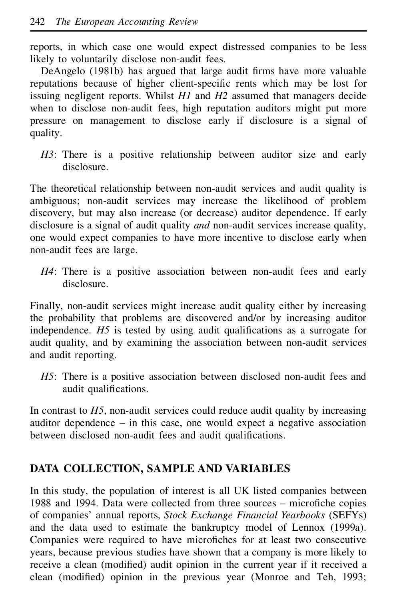reports, in which case one would expect distressed companies to be less likely to voluntarily disclose non-audit fees.

DeAngelo (1981b) has argued that large audit firms have more valuable reputations because of higher client-specific rents which may be lost for issuing negligent reports. Whilst *H1* and *H2* assumed that managers decide when to disclose non-audit fees, high reputation auditors might put more pressure on management to disclose early if disclosure is a signal of quality.

H3: There is a positive relationship between auditor size and early disclosure.

The theoretical relationship between non-audit services and audit quality is ambiguous; non-audit services may increase the likelihood of problem discovery, but may also increase (or decrease) auditor dependence. If early disclosure is a signal of audit quality *and* non-audit services increase quality, one would expect companies to have more incentive to disclose early when non-audit fees are large.

*H4*: There is a positive association between non-audit fees and early disclosure.

Finally, non-audit services might increase audit quality either by increasing the probability that problems are discovered and/or by increasing auditor independence. *H5* is tested by using audit qualifications as a surrogate for audit quality, and by examining the association between non-audit services and audit reporting.

*H5*: There is a positive association between disclosed non-audit fees and audit qualifications.

In contrast to *H5*, non-audit services could reduce audit quality by increasing auditor dependence – in this case, one would expect a negative association between disclosed non-audit fees and audit qualifications.

# **DATA COLLECTION, SAMPLE AND VARIABLES**

In this study, the population of interest is all UK listed companies between 1988 and 1994. Data were collected from three sources – microfiche copies of companies' annual reports, *Stock Exchange Financial Yearbooks* (SEFYs) and the data used to estimate the bankruptcy model of Lennox (1999a). Companies were required to have microfiches for at least two consecutive years, because previous studies have shown that a company is more likely to receive a clean (modified) audit opinion in the current year if it received a clean (modified) opinion in the previous year (Monroe and Teh, 1993;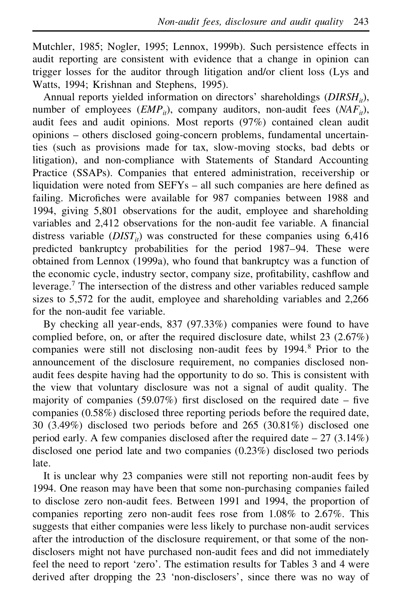Mutchler, 1985; Nogler, 1995; Lennox, 1999b). Such persistence effects in audit reporting are consistent with evidence that a change in opinion can trigger losses for the auditor through litigation and/or client loss (Lys and Watts, 1994; Krishnan and Stephens, 1995).

Annual reports yielded information on directors' shareholdings (*DIRSH<sub>it</sub>*), number of employees  $(EMP_i)$ , company auditors, non-audit fees  $(NAF_i)$ , audit fees and audit opinions. Most reports (97%) contained clean audit opinions – others disclosed going-concern problems, fundamental uncertainties (such as provisions made for tax, slow-moving stocks, bad debts or litigation), and non-compliance with Statements of Standard Accounting Practice (SSAPs). Companies that entered administration, receivership or liquidation were noted from SEFYs – all such companies are here defined as failing. Microfiches were available for 987 companies between 1988 and 1994, giving 5,801 observations for the audit, employee and shareholding variables and 2,412 observations for the non-audit fee variable. A financial distress variable  $(DIST<sub>i</sub>)$  was constructed for these companies using 6,416 predicted bankruptcy probabilities for the period 1987–94. These were obtained from Lennox (1999a), who found that bankruptcy was a function of the economic cycle, industry sector, company size, profitability, cashflow and leverage.<sup>7</sup> The intersection of the distress and other variables reduced sample sizes to 5,572 for the audit, employee and shareholding variables and 2,266 for the non-audit fee variable.

By checking all year-ends, 837 (97.33%) companies were found to have complied before, on, or after the required disclosure date, whilst 23 (2.67%) companies were still not disclosing non-audit fees by 1994.<sup>8</sup> Prior to the announcement of the disclosure requirement, no companies disclosed nonaudit fees despite having had the opportunity to do so. This is consistent with the view that voluntary disclosure was not a signal of audit quality. The majority of companies (59.07%) first disclosed on the required date – five companies (0.58%) disclosed three reporting periods before the required date, 30 (3.49%) disclosed two periods before and 265 (30.81%) disclosed one period early. A few companies disclosed after the required date  $-27$  (3.14%) disclosed one period late and two companies (0.23%) disclosed two periods late.

It is unclear why 23 companies were still not reporting non-audit fees by 1994. One reason may have been that some non-purchasing companies failed to disclose zero non-audit fees. Between 1991 and 1994, the proportion of companies reporting zero non-audit fees rose from 1.08% to 2.67%. This suggests that either companies were less likely to purchase non-audit services after the introduction of the disclosure requirement, or that some of the nondisclosers might not have purchased non-audit fees and did not immediately feel the need to report 'zero'. The estimation results for Tables 3 and 4 were derived after dropping the 23 'non-disclosers', since there was no way of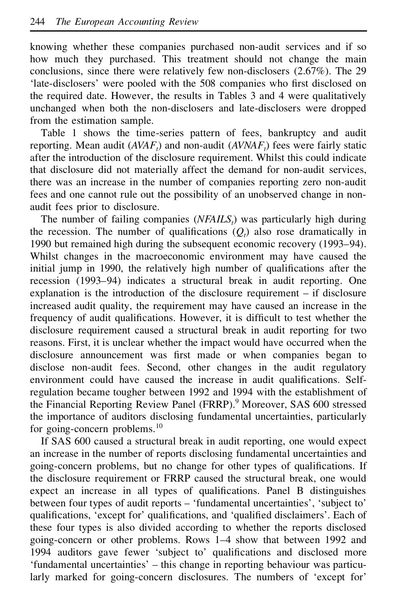knowing whether these companies purchased non-audit services and if so how much they purchased. This treatment should not change the main conclusions, since there were relatively few non-disclosers (2.67%). The 29 'late-disclosers' were pooled with the 508 companies who first disclosed on the required date. However, the results in Tables 3 and 4 were qualitatively unchanged when both the non-disclosers and late-disclosers were dropped from the estimation sample.

Table 1 shows the time-series pattern of fees, bankruptcy and audit reporting. Mean audit (*AVAFt*) and non-audit (*AVNAFt*) fees were fairly static after the introduction of the disclosure requirement. Whilst this could indicate that disclosure did not materially affect the demand for non-audit services, there was an increase in the number of companies reporting zero non-audit fees and one cannot rule out the possibility of an unobserved change in nonaudit fees prior to disclosure.

The number of failing companies (*NFAILSt*) was particularly high during the recession. The number of qualifications  $(O<sub>i</sub>)$  also rose dramatically in 1990 but remained high during the subsequent economic recovery (1993–94). Whilst changes in the macroeconomic environment may have caused the initial jump in 1990, the relatively high number of qualifications after the recession (1993–94) indicates a structural break in audit reporting. One explanation is the introduction of the disclosure requirement – if disclosure increased audit quality, the requirement may have caused an increase in the frequency of audit qualifications. However, it is difficult to test whether the disclosure requirement caused a structural break in audit reporting for two reasons. First, it is unclear whether the impact would have occurred when the disclosure announcement was first made or when companies began to disclose non-audit fees. Second, other changes in the audit regulatory environment could have caused the increase in audit qualifications. Selfregulation became tougher between 1992 and 1994 with the establishment of the Financial Reporting Review Panel (FRRP).<sup>9</sup> Moreover, SAS 600 stressed the importance of auditors disclosing fundamental uncertainties, particularly for going-concern problems.<sup>10</sup>

If SAS 600 caused a structural break in audit reporting, one would expect an increase in the number of reports disclosing fundamental uncertainties and going-concern problems, but no change for other types of qualifications. If the disclosure requirement or FRRP caused the structural break, one would expect an increase in all types of qualifications. Panel B distinguishes between four types of audit reports – 'fundamental uncertainties', 'subject to' qualifications, 'except for' qualifications, and 'qualified disclaimers'. Each of these four types is also divided according to whether the reports disclosed going-concern or other problems. Rows 1–4 show that between 1992 and 1994 auditors gave fewer 'subject to' qualifications and disclosed more 'fundamental uncertainties' – this change in reporting behaviour was particularly marked for going-concern disclosures. The numbers of 'except for'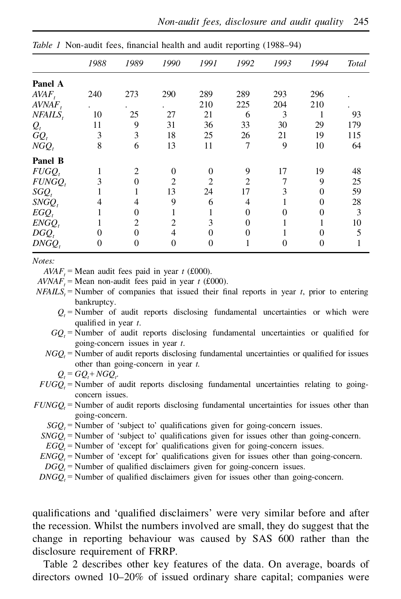|           | 1988                 | 1989           | 1990           | 1991                        | 1992           | 1993 | 1994     | <b>Total</b> |
|-----------|----------------------|----------------|----------------|-----------------------------|----------------|------|----------|--------------|
| Panel A   |                      |                |                |                             |                |      |          |              |
| $AVAF_t$  | 240                  | 273            | 290            | 289                         | 289            | 293  | 296      |              |
| AVNAF,    | $\ddot{\phantom{0}}$ |                |                | 210                         | 225            | 204  | 210      |              |
| NFAILS.   | 10                   | 25             | 27             | 21                          | 6              | 3    |          | 93           |
| $Q_t$     | 11                   | 9              | 31             | 36                          | 33             | 30   | 29       | 179          |
| $GQ_t$    | 3                    | 3              | 18             | 25                          | 26             | 21   | 19       | 115          |
| $NGQ_t$   | 8                    | 6              | 13             | 11                          | 7              | 9    | 10       | 64           |
| Panel B   |                      |                |                |                             |                |      |          |              |
| $FUGQ_t$  |                      | 2              | $\Omega$       | $\Omega$                    | 9              | 17   | 19       | 48           |
| $FUNGQ_t$ | 3                    | $\theta$       | $\mathfrak{D}$ | $\mathcal{D}_{\mathcal{L}}$ | $\mathfrak{D}$ | 7    | 9        | 25           |
| $SGQ_t$   |                      |                | 13             | 24                          | 17             | 3    | 0        | 59           |
| $SNGQ_t$  | 4                    | 4              | 9              | 6                           | 4              |      | $\Omega$ | 28           |
| $EGQ_t$   |                      | $\Omega$       | л.             |                             | 0              | 0    | 0        | 3            |
| $ENGQ_t$  |                      | $\overline{c}$ | $\overline{c}$ | 3                           | 0              |      |          | 10           |
| $DGQ_t$   | $\theta$             | $\theta$       | 4              | 0                           | 0              |      | 0        | 5            |
| $DNGQ_t$  | $\theta$             | $\overline{0}$ | 0              | 0                           |                | 0    | $^{()}$  |              |

*Table 1* Non-audit fees, financial health and audit reporting (1988–94)

*Notes:*

 $AVAF<sub>t</sub>$  = Mean audit fees paid in year *t* (£000).

 $AVNAF<sub>t</sub>$  = Mean non-audit fees paid in year *t* (£000).

- $NFAILS<sub>i</sub>$  = Number of companies that issued their final reports in year *t*, prior to entering bankruptcy.
	- $Q_t$  = Number of audit reports disclosing fundamental uncertainties or which were qualified in year *t*.
	- $GQ<sub>i</sub>$  = Number of audit reports disclosing fundamental uncertainties or qualified for going-concern issues in year *t*.
	- $NGO<sub>i</sub>$  = Number of audit reports disclosing fundamental uncertainties or qualified for issues other than going-concern in year *t.*

$$
Q_t = GQ_t + NGQ_t.
$$

- $FUGQ<sub>t</sub>$  = Number of audit reports disclosing fundamental uncertainties relating to going-<br>concern issues.
- $FUNGO$   $=$  Number of audit reports disclosing fundamental uncertainties for issues other than going-concern.
	- $SGO<sub>i</sub>$  = Number of 'subject to' qualifications given for going-concern issues.
	- *SNGQ<sub>t</sub>* = Number of 'subject to' qualifications given for issues other than going-concern.
	- $EGQ<sub>t</sub>$  = Number of 'except for' qualifications given for going-concern issues.
	- $ENGO$ <sup> $=$ </sup> Number of 'except for' qualifications given for issues other than going-concern.
	- $D G Q<sub>t</sub>$  = Number of qualified disclaimers given for going-concern issues.
	- $DNGQ$  = Number of qualified disclaimers given for issues other than going-concern.

qualifications and 'qualified disclaimers' were very similar before and after the recession. Whilst the numbers involved are small, they do suggest that the change in reporting behaviour was caused by SAS 600 rather than the disclosure requirement of FRRP.

Table 2 describes other key features of the data. On average, boards of directors owned 10–20% of issued ordinary share capital; companies were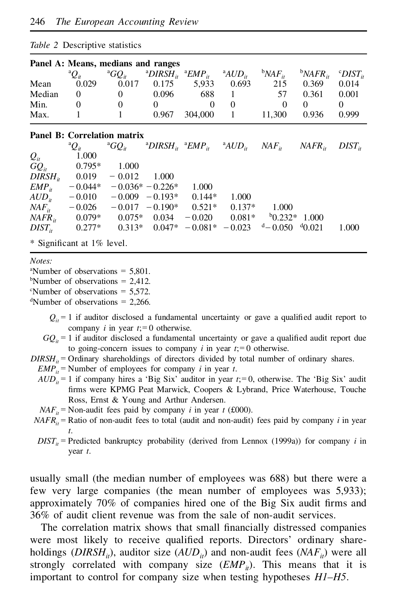|             | $100\leq 2$ Descriptive statistics |                                    |                                                                                                                                                             |          |                    |                                                                       |                    |                               |
|-------------|------------------------------------|------------------------------------|-------------------------------------------------------------------------------------------------------------------------------------------------------------|----------|--------------------|-----------------------------------------------------------------------|--------------------|-------------------------------|
|             |                                    | Panel A: Means, medians and ranges |                                                                                                                                                             |          |                    |                                                                       |                    |                               |
|             | $^{\mathrm{a}}\!Q_{\it it}$        |                                    | <sup>a</sup> GQ <sub>it</sub> <sup>a</sup> DIRSH <sub>it</sub> <sup>a</sup> EMP <sub>it</sub> <sup>a</sup> AUD <sub>it</sub> <sup>b</sup> NAF <sub>it</sub> |          |                    |                                                                       | $bNAFR_{ir}$       | $^{\rm c}$ DIST <sub>it</sub> |
| Mean        | 0.029                              | 0.017                              | 0.175                                                                                                                                                       | 5,933    | 0.693              | 215                                                                   | 0.369              | 0.014                         |
| Median      | $\Omega$                           | $\theta$                           | 0.096                                                                                                                                                       | 688      | 1                  | 57                                                                    | 0.361              | 0.001                         |
| Min.        | $\mathbf{0}$                       | $\Omega$                           | $\theta$                                                                                                                                                    | $\theta$ | $\Omega$           | $\theta$                                                              | 0                  | $\Omega$                      |
| Max.        | 1                                  | $\mathbf{1}$                       | 0.967                                                                                                                                                       | 304,000  | $\mathbf{1}$       | 11,300                                                                | 0.936              | 0.999                         |
|             |                                    | Panel B: Correlation matrix        |                                                                                                                                                             |          |                    |                                                                       |                    |                               |
|             | ${}^{\mathrm{a}}Q_{it}$            | $^aGO_{ir}$                        |                                                                                                                                                             |          |                    | $^{a}DIRSH_{it}$ $^{a}EMP_{it}$ $^{a}AUD_{it}$ $NAF_{it}$ $NAFR_{it}$ |                    | $DIST_{ir}$                   |
| $Q_{it}$    | 1.000                              |                                    |                                                                                                                                                             |          |                    |                                                                       |                    |                               |
| $GQ_{it}$   | $0.795*$                           | 1.000                              |                                                                                                                                                             |          |                    |                                                                       |                    |                               |
|             | $DIRSHii$ 0.019 - 0.012            |                                    | 1.000                                                                                                                                                       |          |                    |                                                                       |                    |                               |
| $EMP_{ii}$  |                                    | $-0.044* -0.036* -0.226*$          |                                                                                                                                                             | 1.000    |                    |                                                                       |                    |                               |
| $AUD_{ii}$  |                                    | $-0.010$ $-0.009$ $-0.193*$ 0.144* |                                                                                                                                                             |          | 1.000              |                                                                       |                    |                               |
| $NAF_{ii}$  | $-0.026$                           |                                    | $-0.017 - 0.190* 0.521*$                                                                                                                                    |          | $0.137*$           | 1.000                                                                 |                    |                               |
| $NAFR_{it}$ | $0.079*$                           |                                    | $0.075*$ 0.034                                                                                                                                              | $-0.020$ | $0.081*$           |                                                                       | $^{b}0.232*$ 1.000 |                               |
| $DIST_{ir}$ | $0.277*$                           |                                    | $0.313*$ 0.047*                                                                                                                                             |          | $-0.081^* - 0.023$ | $d = 0.050$ $d = 0.021$                                               |                    | 1.000                         |
|             | * Significant at 1% level.         |                                    |                                                                                                                                                             |          |                    |                                                                       |                    |                               |

#### *Table 2* Descriptive statistics

#### *Notes:*

<sup>a</sup>Number of observations  $=$  5.801.

<sup>b</sup>Number of observations  $= 2.412$ .

 $\textdegree$ Number of observations = 5.572.

<sup>d</sup>Number of observations =  $2,266$ .

- $Q_i = 1$  if auditor disclosed a fundamental uncertainty or gave a qualified audit report to company  $i$  in year  $t = 0$  otherwise.
- $GO_i = 1$  if auditor disclosed a fundamental uncertainty or gave a qualified audit report due to going-concern issues to company *i* in year  $t = 0$  otherwise.
- *DIRSH<sub>it</sub>* = Ordinary shareholdings of directors divided by total number of ordinary shares.

 $EMP_{it}$  = Number of employees for company *i* in year *t*.

- $AUD_i = 1$  if company hires a 'Big Six' auditor in year  $t = 0$ , otherwise. The 'Big Six' audit firms were KPMG Peat Marwick, Coopers & Lybrand, Price Waterhouse, Touche Ross, Ernst & Young and Arthur Andersen.
- $NAF_i$  = Non-audit fees paid by company *i* in year *t* (£000).
- $NAFR<sub>i</sub>$  = Ratio of non-audit fees to total (audit and non-audit) fees paid by company *i* in year *t*.
- $DIST_{it}$  = Predicted bankruptcy probability (derived from Lennox (1999a)) for company *i* in year *t*.

usually small (the median number of employees was 688) but there were a few very large companies (the mean number of employees was 5,933); approximately  $70\%$  of companies hired one of the Big Six audit firms and 36% of audit client revenue was from the sale of non-audit services.

The correlation matrix shows that small financially distressed companies were most likely to receive qualified reports. Directors' ordinary shareholdings (*DIRSH<sub>it</sub>*), auditor size (*AUD<sub>it</sub>*) and non-audit fees (*NAF<sub>it</sub>*) were all strongly correlated with company size  $(EMP<sub>i</sub>)$ . This means that it is important to control for company size when testing hypotheses *H1–H5*.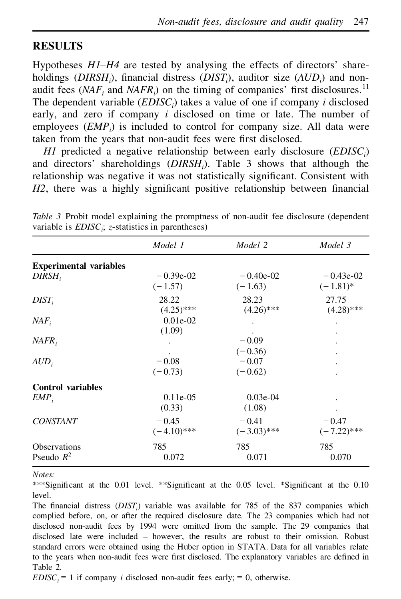## **RESULTS**

Hypotheses *H1–H4* are tested by analysing the effects of directors' shareholdings (*DIRSH*<sub>i</sub>), financial distress (*DIST*<sub>i</sub>), auditor size (*AUD*<sub>*i*</sub>) and nonaudit fees  $(NAF, and NAFR)$  on the timing of companies' first disclosures.<sup>11</sup> The dependent variable (*EDISCi*) takes a value of one if company *i* disclosed early, and zero if company *i* disclosed on time or late. The number of employees (*EMPi*) is included to control for company size. All data were taken from the years that non-audit fees were first disclosed.

*H1* predicted a negative relationship between early disclosure (*EDISCi*) and directors' shareholdings (*DIRSHi*). Table 3 shows that although the relationship was negative it was not statistically significant. Consistent with *H2*, there was a highly significant positive relationship between financial

|                                     | Model 1                  | Model 2                   | Model 3                    |
|-------------------------------------|--------------------------|---------------------------|----------------------------|
| <b>Experimental variables</b>       |                          |                           |                            |
| DIRSH,                              | $-0.39e-02$<br>$(-1.57)$ | $-0.40e-0.2$<br>$(-1.63)$ | $-0.43e-02$<br>$(-1.81)^*$ |
| $DIST_i$                            | 28.22<br>$(4.25)$ ***    | 28.23<br>$(4.26)$ ***     | 27.75<br>$(4.28)$ ***      |
| NAF                                 | $0.01e-02$<br>(1.09)     |                           |                            |
| NAFR                                |                          | $-0.09$<br>$(-0.36)$      |                            |
| $AUD_i$                             | $-0.08$<br>$(-0.73)$     | $-0.07$<br>$(-0.62)$      |                            |
| <b>Control variables</b>            |                          |                           |                            |
| $EMP_i$                             | $0.11e-0.5$<br>(0.33)    | $0.03e-04$<br>(1.08)      |                            |
| <b>CONSTANT</b>                     | $-0.45$<br>$(-4.10)$ *** | $-0.41$<br>$(-3.03)$ ***  | $-0.47$<br>$(-7.22)$ ***   |
| <b>Observations</b><br>Pseudo $R^2$ | 785<br>0.072             | 785<br>0.071              | 785<br>0.070               |

*Table 3* Probit model explaining the promptness of non-audit fee disclosure (dependent variable is *EDISCi*; *z*-statistics in parentheses)

*Notes:*

\*\*\*Significant at the  $0.01$  level. \*\*Significant at the  $0.05$  level. \*Significant at the  $0.10$ level.

The financial distress (*DIST*<sub>*i*</sub>) variable was available for 785 of the 837 companies which complied before, on, or after the required disclosure date. The 23 companies which had not disclosed non-audit fees by 1994 were omitted from the sample. The 29 companies that disclosed late were included – however, the results are robust to their omission. Robust standard errors were obtained using the Huber option in STATA. Data for all variables relate to the years when non-audit fees were first disclosed. The explanatory variables are defined in Table 2.

*EDISC*<sub>*i*</sub> = 1 if company *i* disclosed non-audit fees early; = 0, otherwise.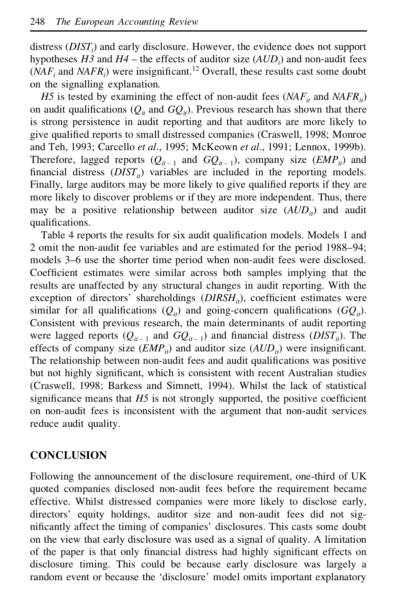distress (*DISTi*) and early disclosure. However, the evidence does not support hypotheses *H3* and *H4* – the effects of auditor size (*AUDi*) and non-audit fees  $(NAF)$  and  $NAFR$ <sup>*i*</sup>) were insignificant.<sup>12</sup> Overall, these results cast some doubt on the signalling explanation.

*H5* is tested by examining the effect of non-audit fees ( $NAF_i$  and  $NAFR_i$ ) on audit qualifications  $(Q_{it}$  and  $GQ_{it}$ ). Previous research has shown that there is strong persistence in audit reporting and that auditors are more likely to give qualified reports to small distressed companies (Craswell, 1998; Monroe and Teh, 1993; Carcello *et al*., 1995; McKeown *et al*., 1991; Lennox, 1999b). Therefore, lagged reports  $(Q_{it-1}$  and  $GQ_{it-1}$ ), company size  $(\mathit{EMP}_{it})$  and financial distress  $(DIST<sub>i</sub>)$  variables are included in the reporting models. Finally, large auditors may be more likely to give qualified reports if they are more likely to discover problems or if they are more independent. Thus, there may be a positive relationship between auditor size  $(AUD_i)$  and audit qualifications.

Table 4 reports the results for six audit qualification models. Models 1 and 2 omit the non-audit fee variables and are estimated for the period 1988–94; models 3–6 use the shorter time period when non-audit fees were disclosed. Coefficient estimates were similar across both samples implying that the results are unaffected by any structural changes in audit reporting. With the exception of directors' shareholdings (*DIRSH<sub>it</sub>*), coefficient estimates were similar for all qualifications  $(Q_{it})$  and going-concern qualifications  $(GQ_{it})$ . Consistent with previous research, the main determinants of audit reporting were lagged reports  $(Q_{it-1}$  and  $GQ_{it-1}$ ) and financial distress  $(DIST_{it})$ . The effects of company size  $(EMP<sub>i</sub>)$  and auditor size  $(AUD<sub>i</sub>)$  were insignificant. The relationship between non-audit fees and audit qualifications was positive but not highly significant, which is consistent with recent Australian studies (Craswell, 1998; Barkess and Simnett, 1994). Whilst the lack of statistical significance means that  $H5$  is not strongly supported, the positive coefficient on non-audit fees is inconsistent with the argument that non-audit services reduce audit quality.

## **CONCLUSION**

Following the announcement of the disclosure requirement, one-third of UK quoted companies disclosed non-audit fees before the requirement became effective. Whilst distressed companies were more likely to disclose early, directors' equity holdings, auditor size and non-audit fees did not significantly affect the timing of companies' disclosures. This casts some doubt on the view that early disclosure was used as a signal of quality. A limitation of the paper is that only financial distress had highly significant effects on disclosure timing. This could be because early disclosure was largely a random event or because the 'disclosure' model omits important explanatory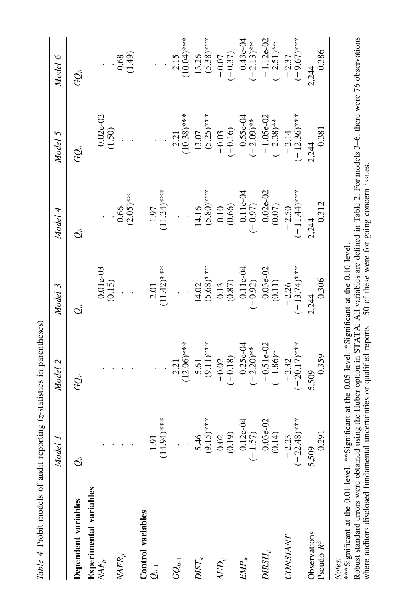| Table 4 Probit models of audit reporting (z-statistics in parentheses) | Model 1                                                                                                | Model 2                                                                 | Model 3                                                                                                     | Model 4                                                                     | Model 5                    | Model 6                   |
|------------------------------------------------------------------------|--------------------------------------------------------------------------------------------------------|-------------------------------------------------------------------------|-------------------------------------------------------------------------------------------------------------|-----------------------------------------------------------------------------|----------------------------|---------------------------|
|                                                                        |                                                                                                        |                                                                         |                                                                                                             |                                                                             |                            |                           |
| Dependent variables                                                    | $\mathcal{Q}_\alpha^*$                                                                                 | $G\!\!\!\!\!Q_{\!i}$                                                    | $\vec{Q}_{\vec{u}}$                                                                                         | $\mathcal{Q}_i$                                                             | $G_{ii}$                   | $G\mathcal{Q}_i$          |
| bles<br>Experimental varial                                            |                                                                                                        |                                                                         |                                                                                                             |                                                                             |                            |                           |
| $\mathit{NAF}_{ii}$                                                    |                                                                                                        |                                                                         | $0.01e-03$<br>(0.15)                                                                                        |                                                                             | $\frac{0.02e-02}{(1.50)}$  |                           |
| $\ensuremath{\mathit{MFR}}_\textit{it}$                                |                                                                                                        |                                                                         |                                                                                                             |                                                                             |                            | (64.1, 0.0)               |
|                                                                        |                                                                                                        |                                                                         |                                                                                                             | $\frac{0.66}{(2.05)***}$                                                    |                            |                           |
| Control variables                                                      |                                                                                                        |                                                                         |                                                                                                             |                                                                             |                            |                           |
| $\mathcal{Q}_{i\leftarrow1}$                                           | $1.91$<br>$(14.94)***$                                                                                 |                                                                         | $2.01$<br>(11.42)***                                                                                        | $1.97$<br>$(1.24)***$                                                       |                            |                           |
|                                                                        |                                                                                                        |                                                                         |                                                                                                             |                                                                             |                            |                           |
| $GQ_{it-1}$                                                            |                                                                                                        | $2.21$<br>(12.06)***                                                    | $\ddot{\cdot}$                                                                                              | $\ddot{\phantom{0}}$                                                        | $2.21$<br>(10.38)***       | $2.15$<br>(10.04)***      |
|                                                                        |                                                                                                        |                                                                         |                                                                                                             |                                                                             |                            |                           |
| $DIST_u$                                                               |                                                                                                        |                                                                         |                                                                                                             |                                                                             |                            | $13.26$<br>(5.38)***      |
|                                                                        |                                                                                                        | $5.61$<br>(9.11)***                                                     |                                                                                                             |                                                                             | $\frac{13.07}{(5.25)***}$  |                           |
| $AUD_i$                                                                |                                                                                                        | $-0.02$<br>$(-0.18)$                                                    |                                                                                                             |                                                                             |                            |                           |
|                                                                        |                                                                                                        |                                                                         |                                                                                                             |                                                                             | $-0.03$<br>$(-0.16)$       | $-0.07$<br>$(-0.37)$      |
| $EMP_{ii}$                                                             |                                                                                                        |                                                                         |                                                                                                             |                                                                             |                            |                           |
|                                                                        | 5.46<br>$(9.15)***$<br>$(9.15)***$<br>$(0.02)$<br>$(0.19)$<br>$-0.12e-04$<br>$(-1.57)$<br>$(0.03e-02)$ | $-0.25e-04$<br>$(-2.20)*$<br>$-0.51e-02$<br>$(-1.86)*$                  |                                                                                                             | 14.16<br>(5.80)***<br>(5.80)***<br>(10.00)<br>(0.02)<br>(0.02-02)<br>(0.07) | $-0.55e-04$<br>$(-2.09)**$ | $-0.43e-04$<br>$(-2.13)*$ |
| $DIRSH_{_H}$                                                           |                                                                                                        |                                                                         |                                                                                                             |                                                                             |                            |                           |
|                                                                        |                                                                                                        |                                                                         |                                                                                                             |                                                                             | $-1.05e-02$<br>$(-2.38)*$  | $-1.12e-02$<br>$(-2.51)*$ |
| CONSTANT                                                               |                                                                                                        |                                                                         |                                                                                                             |                                                                             |                            |                           |
|                                                                        | $-2.23$<br>(-22.48)***                                                                                 | $-2.32$<br>$(-20.17)***$                                                | 14.02<br>(5.68)****<br>(5.68)****<br>(0.87)<br>(0.87)<br>(0.11.1e-04<br>(-0.03e-02<br>(0.11)<br>(-13.74)*** | $-2.50$<br>$(-11.44)***$                                                    | $-2.14$<br>$(-12.36)***$   | $-2.37$<br>$(-9.67)***$   |
| Observations                                                           | 5,509                                                                                                  | 5,509                                                                   | 2,244                                                                                                       | 2,244                                                                       | 2,244                      | 2,244                     |
| Pseudo $R^2$                                                           | 0.291                                                                                                  | 0.359                                                                   | 0.306                                                                                                       | 0.312                                                                       | 0.381                      | 0.386                     |
| į<br>ا مله عمامت عشائي : 4** 12**<br>Notes:                            | Ī                                                                                                      | Example of O and the O OE laws is the set of our designment of $\alpha$ |                                                                                                             |                                                                             |                            |                           |

A. All variables are defined in Table 2. For models 3–6, there were 76 observations  $s - 50$  of these were for going-concern issues. where auditors disclosed fundamental uncertainties or qualified reports - 50 of these were for going-concern issues. where auditors disclosed fundamental uncertainties or qualified reports – 50 of these were for going-concern issues.<br>. *Notes*:<br>\*\*\*Significant at the 0.01 level. \*\*Significant at the 0.05 level. \*Significant at the 0.10 level.<br>Robust standard errors were obtained using the Huber option in STATA. All variables are defin<br>where auditors discl AT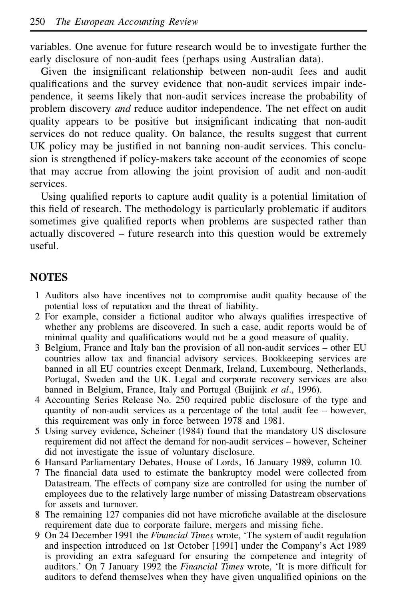variables. One avenue for future research would be to investigate further the early disclosure of non-audit fees (perhaps using Australian data).

Given the insignificant relationship between non-audit fees and audit qualifications and the survey evidence that non-audit services impair independence, it seems likely that non-audit services increase the probability of problem discovery *and* reduce auditor independence. The net effect on audit quality appears to be positive but insignificant indicating that non-audit services do not reduce quality. On balance, the results suggest that current UK policy may be justified in not banning non-audit services. This conclusion is strengthened if policy-makers take account of the economies of scope that may accrue from allowing the joint provision of audit and non-audit services.

Using qualified reports to capture audit quality is a potential limitation of this field of research. The methodology is particularly problematic if auditors sometimes give qualified reports when problems are suspected rather than actually discovered – future research into this question would be extremely useful.

# **NOTES**

- 1 Auditors also have incentives not to compromise audit quality because of the potential loss of reputation and the threat of liability.
- $2$  For example, consider a fictional auditor who always qualifies irrespective of whether any problems are discovered. In such a case, audit reports would be of minimal quality and qualifications would not be a good measure of quality.
- 3 Belgium, France and Italy ban the provision of all non-audit services other EU countries allow tax and financial advisory services. Bookkeeping services are banned in all EU countries except Denmark, Ireland, Luxembourg, Netherlands, Portugal, Sweden and the UK. Legal and corporate recovery services are also banned in Belgium, France, Italy and Portugal (Buijink *et al*., 1996).
- 4 Accounting Series Release No. 250 required public disclosure of the type and quantity of non-audit services as a percentage of the total audit fee – however, this requirement was only in force between 1978 and 1981.
- 5 Using survey evidence, Scheiner (1984) found that the mandatory US disclosure requirement did not affect the demand for non-audit services – however, Scheiner did not investigate the issue of voluntary disclosure.
- 6 Hansard Parliamentary Debates, House of Lords, 16 January 1989, column 10.
- 7 The financial data used to estimate the bankruptcy model were collected from Datastream. The effects of company size are controlled for using the number of employees due to the relatively large number of missing Datastream observations for assets and turnover.
- 8 The remaining 127 companies did not have microfiche available at the disclosure requirement date due to corporate failure, mergers and missing fiche.
- 9 On 24 December 1991 the *Financial Times* wrote, 'The system of audit regulation and inspection introduced on 1st October [1991] under the Company's Act 1989 is providing an extra safeguard for ensuring the competence and integrity of auditors.' On 7 January 1992 the *Financial Times* wrote, 'It is more difficult for auditors to defend themselves when they have given unqualified opinions on the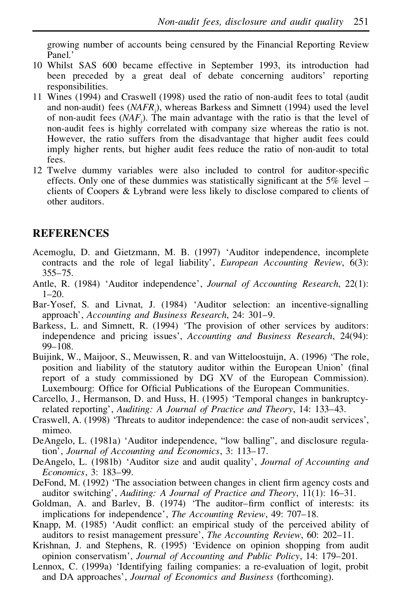growing number of accounts being censured by the Financial Reporting Review Panel.'

- 10 Whilst SAS 600 became effective in September 1993, its introduction had been preceded by a great deal of debate concerning auditors' reporting responsibilities.
- 11 Wines (1994) and Craswell (1998) used the ratio of non-audit fees to total (audit and non-audit) fees (*NAFRi*), whereas Barkess and Simnett (1994) used the level of non-audit fees (*NAFi*). The main advantage with the ratio is that the level of non-audit fees is highly correlated with company size whereas the ratio is not. However, the ratio suffers from the disadvantage that higher audit fees could imply higher rents, but higher audit fees reduce the ratio of non-audit to total fees.
- 12 Twelve dummy variables were also included to control for auditor-specific effects. Only one of these dummies was statistically significant at the  $5\%$  level – clients of Coopers & Lybrand were less likely to disclose compared to clients of other auditors.

## **REFERENCES**

- Acemoglu, D. and Gietzmann, M. B. (1997) 'Auditor independence, incomplete contracts and the role of legal liability', *European Accounting Review*, 6(3): 355–75.
- Antle, R. (1984) 'Auditor independence', *Journal of Accounting Research*, 22(1):  $1 - 20$ .
- Bar-Yosef, S. and Livnat, J. (1984) 'Auditor selection: an incentive-signalling approach', *Accounting and Business Research*, 24: 301–9.
- Barkess, L. and Simnett, R. (1994) 'The provision of other services by auditors: independence and pricing issues', *Accounting and Business Research*, 24(94): 99–108.
- Buijink, W., Maijoor, S., Meuwissen, R. and van Witteloostuijn, A. (1996) 'The role, position and liability of the statutory auditor within the European Union' (final report of a study commissioned by DG XV of the European Commission). Luxembourg: Office for Official Publications of the European Communities.
- Carcello, J., Hermanson, D. and Huss, H. (1995) 'Temporal changes in bankruptcyrelated reporting', *Auditing: A Journal of Practice and Theory*, 14: 133–43.
- Craswell, A. (1998) 'Threats to auditor independence: the case of non-audit services', mimeo.
- DeAngelo, L. (1981a) 'Auditor independence, "low balling", and disclosure regulation', *Journal of Accounting and Economics*, 3: 113–17.
- DeAngelo, L. (1981b) 'Auditor size and audit quality', *Journal of Accounting and Economics*, 3: 183–99.
- DeFond, M. (1992) 'The association between changes in client firm agency costs and auditor switching', *Auditing: A Journal of Practice and Theory*, 11(1): 16–31.
- Goldman, A. and Barlev, B. (1974) 'The auditor-firm conflict of interests: its implications for independence', *The Accounting Review*, 49: 707–18.
- Knapp, M. (1985) 'Audit conflict: an empirical study of the perceived ability of auditors to resist management pressure', *The Accounting Review*, 60: 202–11.
- Krishnan, J. and Stephens, R. (1995) 'Evidence on opinion shopping from audit opinion conservatism', *Journal of Accounting and Public Policy*, 14: 179–201.
- Lennox, C. (1999a) 'Identifying failing companies: a re-evaluation of logit, probit and DA approaches', *Journal of Economics and Business* (forthcoming).